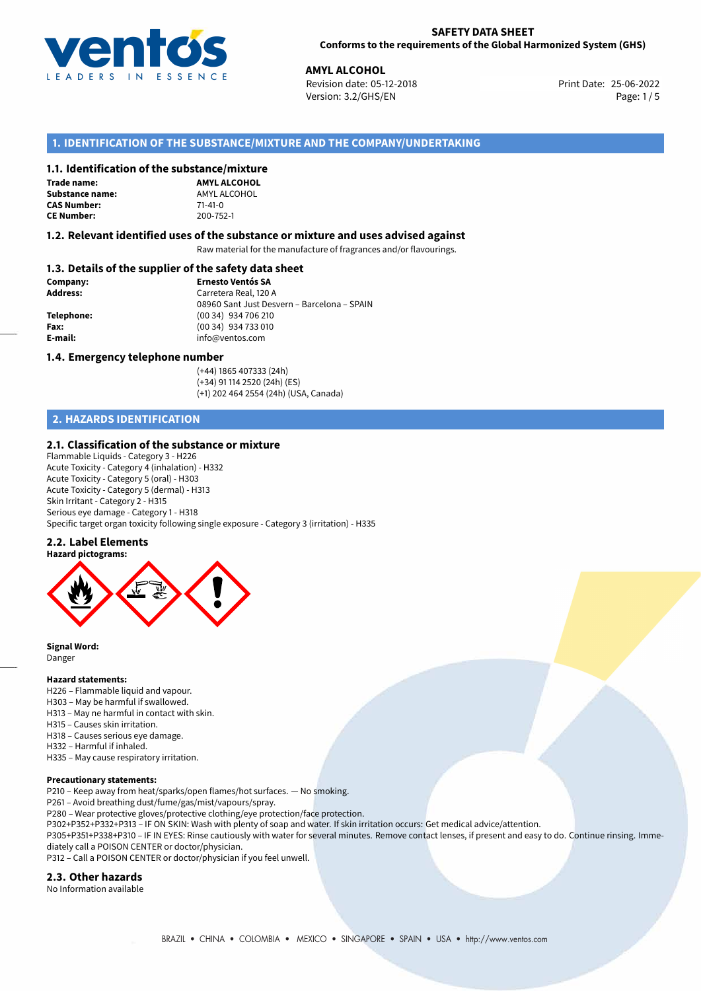

## **SAFETY DATA SHEET Conforms to the requirements of the Global Harmonized System (GHS)**

**AMYL ALCOHOL**<br> **25-06-2022 Revision date: 05-12-2018** Print Date: 25-06-2022 Version: 3.2/GHS/EN Page: 1/5

# **1. IDENTIFICATION OF THE SUBSTANCE/MIXTURE AND THE COMPANY/UNDERTAKING**

# **1.1. Identification of the substance/mixture**

**Trade name: Substance name:** AMYL ALCOHOL<br> **CAS Number:** 71-41-0 **CAS Number:** 71-41-0<br> **CE Number:** 200-752-1 **CE Number:** 200-752-1

**AMYL ALCOHOL**

### **1.2. Relevant identified uses of the substance or mixture and uses advised against**

Raw material for the manufacture of fragrances and/or flavourings.

# **1.3. Details of the supplier of the safety data sheet**

| Company:        | <b>Ernesto Ventós SA</b>                    |  |
|-----------------|---------------------------------------------|--|
| <b>Address:</b> | Carretera Real, 120 A                       |  |
|                 | 08960 Sant Just Desvern – Barcelona – SPAIN |  |
| Telephone:      | (00 34) 934 706 210                         |  |
| Fax:            | (00 34) 934 733 010                         |  |
| E-mail:         | info@ventos.com                             |  |
|                 |                                             |  |

### **1.4. Emergency telephone number**

(+44) 1865 407333 (24h) (+34) 91 114 2520 (24h) (ES) (+1) 202 464 2554 (24h) (USA, Canada)

# **2. HAZARDS IDENTIFICATION**

# **2.1. Classification of the substance or mixture**

Flammable Liquids - Category 3 - H226 Acute Toxicity - Category 4 (inhalation) - H332 Acute Toxicity - Category 5 (oral) - H303 Acute Toxicity - Category 5 (dermal) - H313 Skin Irritant - Category 2 - H315 Serious eye damage - Category 1 - H318 Specific target organ toxicity following single exposure - Category 3 (irritation) - H335

#### **2.2. Label Elements**



**Signal Word:** Danger

#### **Hazard statements:**

- H226 Flammable liquid and vapour.
- H303 May be harmful if swallowed.
- H313 May ne harmful in contact with skin.
- H315 Causes skin irritation.
- H318 Causes serious eye damage.
- H332 Harmful if inhaled.
- H335 May cause respiratory irritation.

# **Precautionary statements:**

P210 – Keep away from heat/sparks/open flames/hot surfaces. — No smoking.

P261 – Avoid breathing dust/fume/gas/mist/vapours/spray.

P280 – Wear protective gloves/protective clothing/eye protection/face protection.

P302+P352+P332+P313 – IF ON SKIN: Wash with plenty of soap and water. If skin irritation occurs: Get medical advice/attention.

P305+P351+P338+P310 – IF IN EYES: Rinse cautiously with water for several minutes. Remove contact lenses, if present and easy to do. Continue rinsing. Immediately call a POISON CENTER or doctor/physician.

P312 – Call a POISON CENTER or doctor/physician if you feel unwell.

# **2.3. Other hazards**

No Information available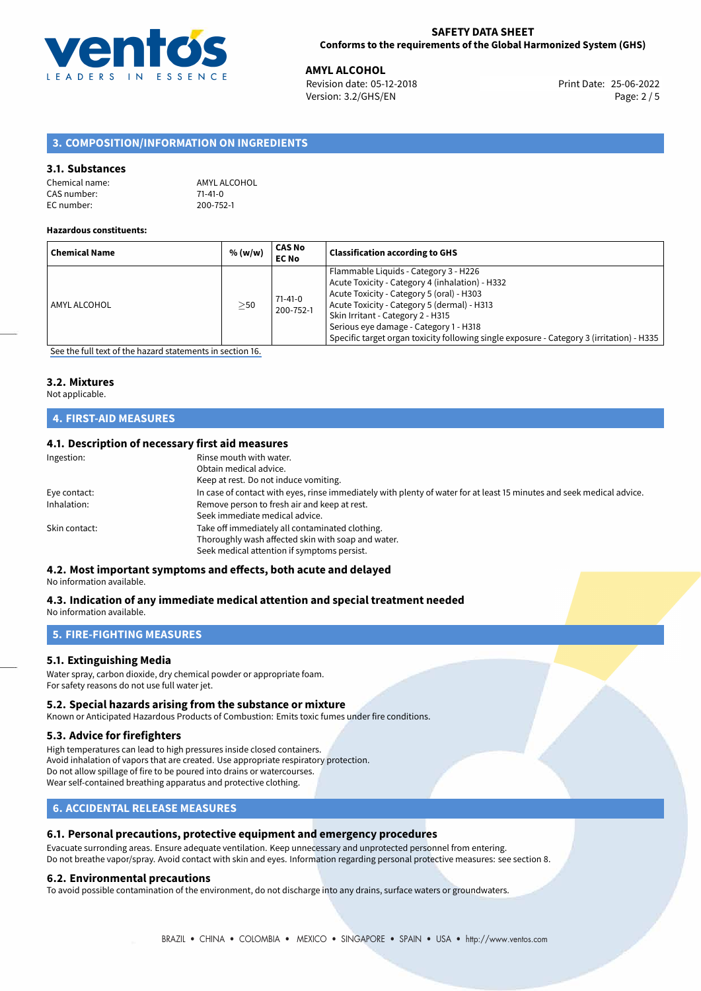

**AMYL ALCOHOL**<br>
Revision date: 05-12-2018 **Print Date: 25-06-2022** Version: 3.2/GHS/EN Page: 2 / 5

# **3. COMPOSITION/INFORMATION ON INGREDIENTS**

## **3.1. Substances**

| Chemical name: | AMYL ALC  |
|----------------|-----------|
| CAS number:    | $71-41-0$ |
| EC number:     | 200-752-1 |

**AMYL ALCOHOL** 

#### **Hazardous constituents:**

| <b>Chemical Name</b> | % (w/w)   | <b>CAS No</b><br><b>EC No</b> | <b>Classification according to GHS</b>                                                                                                                                                                                                                                                                                                                           |
|----------------------|-----------|-------------------------------|------------------------------------------------------------------------------------------------------------------------------------------------------------------------------------------------------------------------------------------------------------------------------------------------------------------------------------------------------------------|
| AMYL ALCOHOL         | $\geq$ 50 | $71 - 41 - 0$<br>200-752-1    | Flammable Liquids - Category 3 - H226<br>Acute Toxicity - Category 4 (inhalation) - H332<br>Acute Toxicity - Category 5 (oral) - H303<br>Acute Toxicity - Category 5 (dermal) - H313<br>Skin Irritant - Category 2 - H315<br>Serious eye damage - Category 1 - H318<br>Specific target organ toxicity following single exposure - Category 3 (irritation) - H335 |

[See the full text of the hazard statements in section 16.](#page-4-0)

# **3.2. Mixtures**

Not applicable.

# **4. FIRST-AID MEASURES**

# **4.1. Description of necessary first aid measures**

| Ingestion:    | Rinse mouth with water.<br>Obtain medical advice.<br>Keep at rest. Do not induce vomiting.                                                           |
|---------------|------------------------------------------------------------------------------------------------------------------------------------------------------|
| Eye contact:  | In case of contact with eyes, rinse immediately with plenty of water for at least 15 minutes and seek medical advice.                                |
| Inhalation:   | Remove person to fresh air and keep at rest.<br>Seek immediate medical advice.                                                                       |
| Skin contact: | Take off immediately all contaminated clothing.<br>Thoroughly wash affected skin with soap and water.<br>Seek medical attention if symptoms persist. |

# **4.2. Most important symptoms and effects, both acute and delayed**

No information available.

#### **4.3. Indication of any immediate medical attention and special treatment needed** No information available.

# **5. FIRE-FIGHTING MEASURES**

# **5.1. Extinguishing Media**

Water spray, carbon dioxide, dry chemical powder or appropriate foam. For safety reasons do not use full water jet.

#### **5.2. Special hazards arising from the substance or mixture**

Known or Anticipated Hazardous Products of Combustion: Emits toxic fumes under fire conditions.

#### **5.3. Advice for firefighters**

High temperatures can lead to high pressures inside closed containers. Avoid inhalation of vapors that are created. Use appropriate respiratory protection. Do not allow spillage of fire to be poured into drains or watercourses. Wear self-contained breathing apparatus and protective clothing.

# **6. ACCIDENTAL RELEASE MEASURES**

# **6.1. Personal precautions, protective equipment and emergency procedures**

Evacuate surronding areas. Ensure adequate ventilation. Keep unnecessary and unprotected personnel from entering. Do not breathe vapor/spray. Avoid contact with skin and eyes. Information regarding personal protective measures: see section 8.

#### **6.2. Environmental precautions**

To avoid possible contamination of the environment, do not discharge into any drains, surface waters or groundwaters.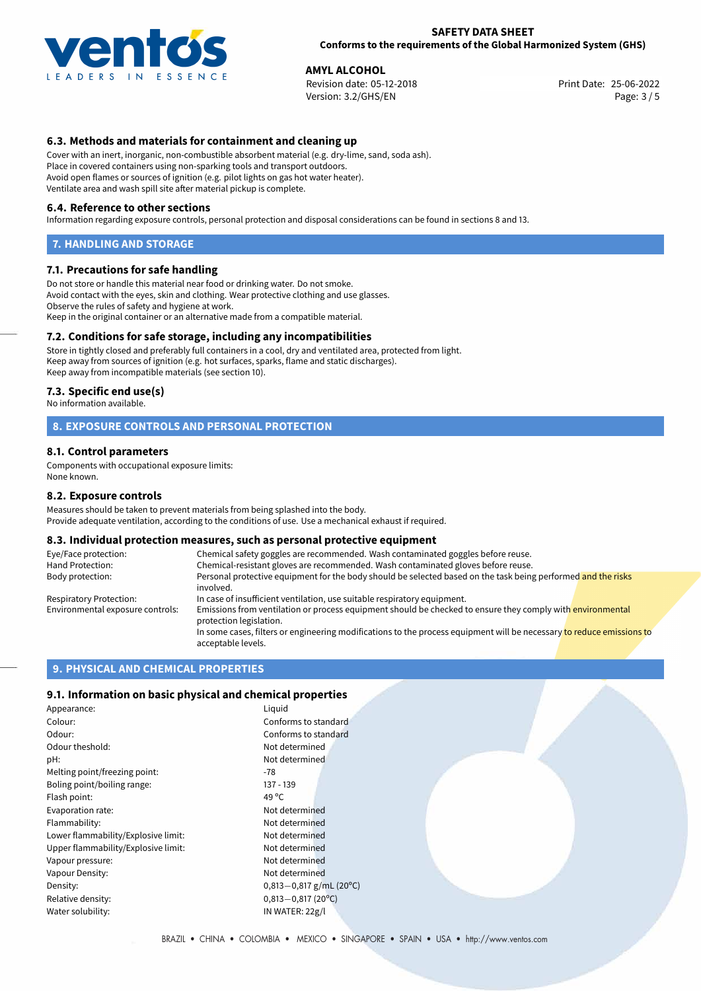

#### **SAFETY DATA SHEET Conforms to the requirements of the Global Harmonized System (GHS)**

**AMYL ALCOHOL**<br>
Revision date: 05-12-2018 **Print Date: 25-06-2022** Version: 3.2/GHS/EN Page: 3 / 5

# **6.3. Methods and materials for containment and cleaning up**

Cover with an inert, inorganic, non-combustible absorbent material (e.g. dry-lime, sand, soda ash). Place in covered containers using non-sparking tools and transport outdoors. Avoid open flames or sources of ignition (e.g. pilot lights on gas hot water heater). Ventilate area and wash spill site after material pickup is complete.

#### **6.4. Reference to other sections**

Information regarding exposure controls, personal protection and disposal considerations can be found in sections 8 and 13.

### **7. HANDLING AND STORAGE**

## **7.1. Precautions for safe handling**

Do not store or handle this material near food or drinking water. Do not smoke. Avoid contact with the eyes, skin and clothing. Wear protective clothing and use glasses. Observe the rules of safety and hygiene at work. Keep in the original container or an alternative made from a compatible material.

# **7.2. Conditions for safe storage, including any incompatibilities**

Store in tightly closed and preferably full containers in a cool, dry and ventilated area, protected from light. Keep away from sources of ignition (e.g. hot surfaces, sparks, flame and static discharges). Keep away from incompatible materials (see section 10).

#### **7.3. Specific end use(s)**

No information available.

# **8. EXPOSURE CONTROLS AND PERSONAL PROTECTION**

### **8.1. Control parameters**

Components with occupational exposure limits: None known.

#### **8.2. Exposure controls**

Measures should be taken to prevent materials from being splashed into the body. Provide adequate ventilation, according to the conditions of use. Use a mechanical exhaust if required.

# **8.3. Individual protection measures, such as personal protective equipment**

| Eye/Face protection:             | Chemical safety goggles are recommended. Wash contaminated goggles before reuse.                                                            |  |  |
|----------------------------------|---------------------------------------------------------------------------------------------------------------------------------------------|--|--|
| Hand Protection:                 | Chemical-resistant gloves are recommended. Wash contaminated gloves before reuse.                                                           |  |  |
| Body protection:                 | Personal protective equipment for the body should be selected based on the task being performed and the risks<br>involved.                  |  |  |
| Respiratory Protection:          | In case of insufficient ventilation, use suitable respiratory equipment.                                                                    |  |  |
| Environmental exposure controls: | Emissions from ventilation or process equipment should be checked to ensure they comply with environmental<br>protection legislation.       |  |  |
|                                  | In some cases, filters or engineering modifications to the process equipment will be necessary to reduce emissions to<br>acceptable levels. |  |  |

# **9. PHYSICAL AND CHEMICAL PROPERTIES**

# **9.1. Information on basic physical and chemical properties**

| Appearance:                         | Liguid                      |
|-------------------------------------|-----------------------------|
| Colour:                             | Conforms to standard        |
| Odour:                              | Conforms to standard        |
| Odour theshold:                     | Not determined              |
| pH:                                 | Not determined              |
| Melting point/freezing point:       | -78                         |
| Boling point/boiling range:         | 137 - 139                   |
| Flash point:                        | 49 $^{\circ}$ C             |
| Evaporation rate:                   | Not determined              |
| Flammability:                       | Not determined              |
| Lower flammability/Explosive limit: | Not determined              |
| Upper flammability/Explosive limit: | Not determined              |
| Vapour pressure:                    | Not determined              |
| Vapour Density:                     | Not determined              |
| Density:                            | 0,813 $-0$ ,817 g/mL (20°C) |
| Relative density:                   | $0,813 - 0,817$ (20°C)      |
| Water solubility:                   | IN WATER: 22g/l             |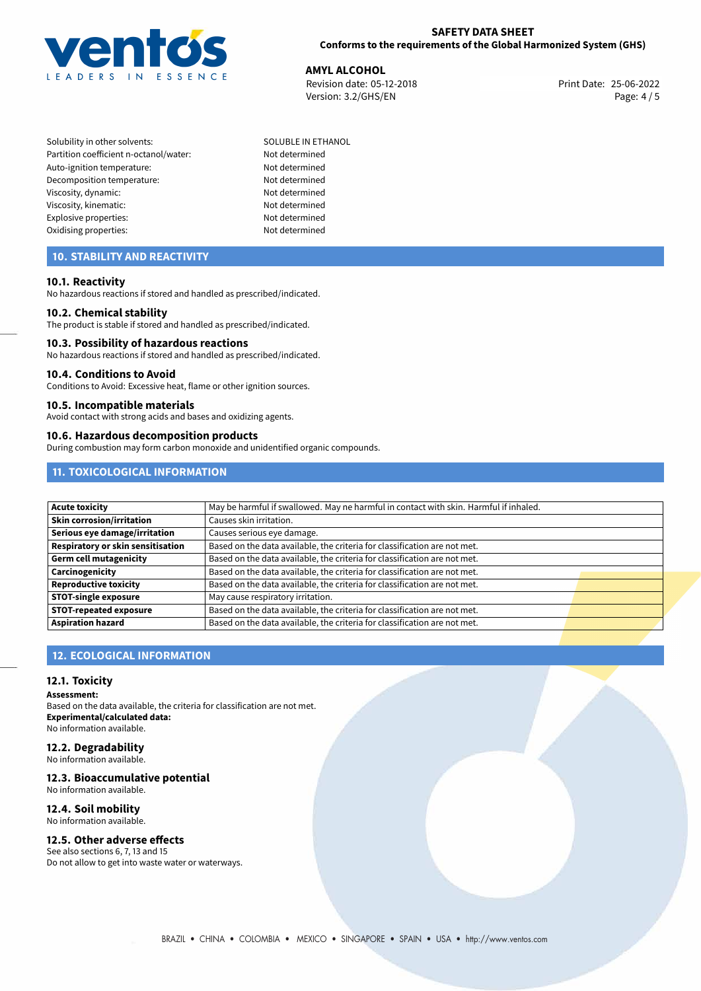

# **SAFETY DATA SHEET Conforms to the requirements of the Global Harmonized System (GHS)**

**AMYL ALCOHOL**<br> **25-06-2022 Revision date: 05-12-2018 All Contracts All Contracts Arist Print Date: 25-06-2022** Revision date: 05-12-2018 Version: 3.2/GHS/EN Page: 4 / 5

Solubility in other solvents: SOLUBLE IN ETHANOL Partition coefficient n-octanol/water: Not determined Auto-ignition temperature: Not determined Decomposition temperature: Not determined Viscosity, dynamic: Not determined Viscosity, kinematic: Not determined Explosive properties: Not determined Oxidising properties: Not determined

# **10. STABILITY AND REACTIVITY**

# **10.1. Reactivity**

No hazardous reactions if stored and handled as prescribed/indicated.

# **10.2. Chemical stability**

The product is stable if stored and handled as prescribed/indicated.

### **10.3. Possibility of hazardous reactions**

No hazardous reactions if stored and handled as prescribed/indicated.

#### **10.4. Conditions to Avoid**

Conditions to Avoid: Excessive heat, flame or other ignition sources.

### **10.5. Incompatible materials**

Avoid contact with strong acids and bases and oxidizing agents.

### **10.6. Hazardous decomposition products**

During combustion may form carbon monoxide and unidentified organic compounds.

# **11. TOXICOLOGICAL INFORMATION**

| Acute toxicity                           | May be harmful if swallowed. May ne harmful in contact with skin. Harmful if inhaled. |  |  |
|------------------------------------------|---------------------------------------------------------------------------------------|--|--|
| <b>Skin corrosion/irritation</b>         | Causes skin irritation.                                                               |  |  |
| Serious eye damage/irritation            | Causes serious eye damage.                                                            |  |  |
| <b>Respiratory or skin sensitisation</b> | Based on the data available, the criteria for classification are not met.             |  |  |
| Germ cell mutagenicity                   | Based on the data available, the criteria for classification are not met.             |  |  |
| <b>Carcinogenicity</b>                   | Based on the data available, the criteria for classification are not met.             |  |  |
| Reproductive toxicity                    | Based on the data available, the criteria for classification are not met.             |  |  |
| <b>STOT-single exposure</b>              | May cause respiratory irritation.                                                     |  |  |
| <b>STOT-repeated exposure</b>            | Based on the data available, the criteria for classification are not met.             |  |  |
| <b>Aspiration hazard</b>                 | Based on the data available, the criteria for classification are not met.             |  |  |

# **12. ECOLOGICAL INFORMATION**

# **12.1. Toxicity**

**Assessment:**

Based on the data available, the criteria for classification are not met. **Experimental/calculated data:** No information available.

# **12.2. Degradability**

No information available.

# **12.3. Bioaccumulative potential**

No information available.

# **12.4. Soil mobility**

No information available.

# **12.5. Other adverse effects**

See also sections 6, 7, 13 and 15 Do not allow to get into waste water or waterways.